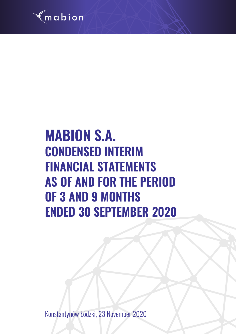

# **MABION S.A. CONDENSED INTERIM FINANCIAL STATEMENTS AS OF AND FOR THE PERIOD OF 3 AND 9 MONTHS ENDED 30 SEPTEMBER 2020**

Konstantynów Łódzki, 23 November 2020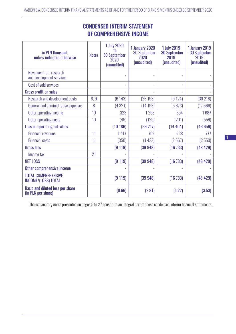| in PLN thousand,<br>unless indicated otherwise                | <b>Notes</b> | <b>1 July 2020</b><br>to<br><b>30 September</b><br>2020<br>(unaudited) | 1 January 2020<br>- 30 September<br>2020<br>(unaudited) | <b>1 July 2019</b><br>- 30 September<br>2019<br>(unaudited) | <b>1 January 2019</b><br>- 30 September<br>2019<br>(unaudited) |
|---------------------------------------------------------------|--------------|------------------------------------------------------------------------|---------------------------------------------------------|-------------------------------------------------------------|----------------------------------------------------------------|
| Revenues from research<br>and development services            |              |                                                                        |                                                         |                                                             |                                                                |
| Cost of sold services                                         |              | ÷,                                                                     | $\overline{a}$                                          | Ē,                                                          |                                                                |
| <b>Gross profit on sales</b>                                  |              |                                                                        |                                                         |                                                             |                                                                |
| Research and development costs                                | 8,9          | (6143)                                                                 | (26193)                                                 | (9124)                                                      | (30218)                                                        |
| General and administrative expenses                           | 8            | (4321)                                                                 | (14193)                                                 | (5673)                                                      | (17566)                                                        |
| Other operating income                                        | 10           | 323                                                                    | 1298                                                    | 594                                                         | 1687                                                           |
| Other operating costs                                         | 10           | (45)                                                                   | (129)                                                   | (201)                                                       | (559)                                                          |
| Loss on operating activities                                  |              | (10186)                                                                | (39 217)                                                | (14404)                                                     | (46656)                                                        |
| <b>Financial revenues</b>                                     | 11           | 1417                                                                   | 702                                                     | 238                                                         | 777                                                            |
| <b>Financial costs</b>                                        | 11           | (350)                                                                  | (1433)                                                  | (2567)                                                      | (2550)                                                         |
| <b>Gross loss</b>                                             |              | (9 119)                                                                | (39948)                                                 | (16733)                                                     | (48429)                                                        |
| Income tax                                                    | 21           |                                                                        |                                                         |                                                             |                                                                |
| <b>NET LOSS</b>                                               |              | (9 119)                                                                | (39948)                                                 | (16733)                                                     | (48429)                                                        |
| Other comprehensive income                                    |              |                                                                        |                                                         |                                                             |                                                                |
| <b>TOTAL COMPREHENSIVE</b><br><b>INCOME/(LOSS) TOTAL</b>      |              | (9 119)                                                                | (39948)                                                 | (16733)                                                     | (48429)                                                        |
| <b>Basic and diluted loss per share</b><br>(in PLN per share) |              | (0.66)                                                                 | (2.91)                                                  | (1.22)                                                      | (3.53)                                                         |

# CONDENSED INTERIM STATEMENT OF COMPREHENSIVE INCOME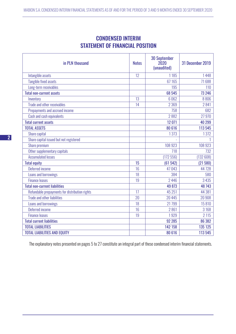|                                        | <b>CONDENSED INTERIM</b> |  |  |
|----------------------------------------|--------------------------|--|--|
| <b>STATEMENT OF FINANCIAL POSITION</b> |                          |  |  |

| in PLN thousand                                | <b>Notes</b> | <b>30 September</b><br>2020<br>(unaudited) | 31 December 2019 |
|------------------------------------------------|--------------|--------------------------------------------|------------------|
| Intangible assets                              | 12           | 1185                                       | 1448             |
| Tangible fixed assets                          |              | 67 165                                     | 71688            |
| Long-term receivables                          |              | 195                                        | 110              |
| <b>Total non-current assets</b>                |              | 68 545                                     | 73 246           |
| Inventory                                      | 13           | 6062                                       | 8806             |
| Trade and other receivables                    | 14           | 2 3 6 9                                    | 2841             |
| Prepayments and accrued income                 |              | 758                                        | 682              |
| Cash and cash equivalents                      |              | 2882                                       | 27970            |
| <b>Total current assets</b>                    |              | 12 071                                     | 40 299           |
| <b>TOTAL ASSETS</b>                            |              | 80 616                                     | 113 545          |
| Share capital                                  |              | 1373                                       | 1372             |
| Share capital issued but not registered        |              |                                            |                  |
| Share premium                                  |              | 108 923                                    | 108 923          |
| Other supplementary capitals                   |              | 718                                        | 732              |
| <b>Accumulated losses</b>                      |              | (172556)                                   | (132608)         |
| <b>Total equity</b>                            | 15           | (61542)                                    | (21580)          |
| Deferred income                                | 16           | 47043                                      | 44728            |
| Loans and borrowings                           | 18           | 384                                        | 580              |
| <b>Finance leases</b>                          | 19           | 2446                                       | 3 4 3 5          |
| <b>Total non-current liabilities</b>           |              | 49 873                                     | 48 7 43          |
| Refundable prepayments for distribution rights | 17           | 45 251                                     | 44 381           |
| <b>Trade and other liabilities</b>             | 20           | 20 4 4 5                                   | 20 908           |
| Loans and borrowings                           | 18           | 21799                                      | 15810            |
| Deferred income                                | 16           | 2861                                       | 3 1 6 8          |
| <b>Finance leases</b>                          | 19           | 1929                                       | 2 1 1 5          |
| <b>Total current liabilities</b>               |              | 92 285                                     | 86 382           |
| <b>TOTAL LIABILITIES</b>                       |              | 142 158                                    | 135 125          |
| <b>TOTAL LIABILITIES AND EQUITY</b>            |              | 80 616                                     | 113 545          |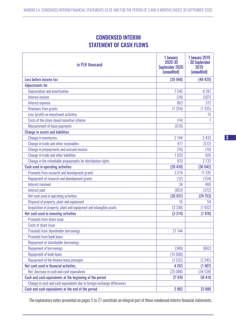# CONDENSED INTERIM STATEMENT OF CASH FLOWS

| in PLN thousand                                                         | 1 January<br>2020-30<br>September 2020<br>(unaudited) | <b>1 January 2019</b><br>- 30 September<br>2019<br>(unaudited) |
|-------------------------------------------------------------------------|-------------------------------------------------------|----------------------------------------------------------------|
| Loss before income tax                                                  | (39948)                                               | (48429)                                                        |
| <b>Adjustments for</b>                                                  |                                                       |                                                                |
| Depreciation and amortisation                                           | 7545                                                  | 8 2 8 7                                                        |
| Interest income                                                         | (34)                                                  | (507)                                                          |
| Interest expense                                                        | 863                                                   | 372                                                            |
| Revenues from grants                                                    | (1254)                                                | (1335)                                                         |
| Loss (profit) on investment activities                                  |                                                       | 15                                                             |
| Costs of the share-based incentive scheme                               | (14)                                                  |                                                                |
| <b>Measurement of lease payments</b>                                    | (670)                                                 |                                                                |
| <b>Change in assets and liabilities</b>                                 |                                                       |                                                                |
| <b>Change in inventories</b>                                            | 2744                                                  | 2433                                                           |
| Change in trade and other receivables                                   | 471                                                   | (512)                                                          |
| Change in prepayments and accrued income                                | (76)                                                  | (19)                                                           |
| Change in trade and other liabilities                                   | 1033                                                  | 920                                                            |
| Change in the refundable prepayments for distribution rights            | 870                                                   | 2 7 3 2                                                        |
| <b>Cash used in operating activities</b>                                | (28470)                                               | (36042)                                                        |
| Proceeds from research and development grants                           | 3 2 7 4                                               | 11 3 35                                                        |
| Repayment of research and development grants                            | (12)                                                  | (154)                                                          |
| Interest received                                                       | 34                                                    | 480                                                            |
| Interest paid                                                           | (863)                                                 | (372)                                                          |
| Net cash used in operating activities                                   | (26037)                                               | (24753)                                                        |
| Disposal of property, plant and equipment                               | 16                                                    | 54                                                             |
| Acquisition of property, plant and equipment and intangible assets      | (3330)                                                | (7932)                                                         |
| Net cash used in investing activities                                   | (3314)                                                | (7878)                                                         |
| Proceeds from share issue                                               |                                                       |                                                                |
| Costs of share issue                                                    |                                                       |                                                                |
| Proceeds from shareholder borrowings                                    | 21 144                                                |                                                                |
| <b>Proceeds from bank loans</b>                                         |                                                       |                                                                |
| Repayment of shareholder borrowings                                     |                                                       |                                                                |
| <b>Repayment of borrowings</b>                                          | (349)                                                 | (662)                                                          |
| <b>Repayment of bank loans</b>                                          | (15000)                                               |                                                                |
| Repayment of the finance lease principal                                | (1532)                                                | (1245)                                                         |
| Net cash used in financial activities                                   | 4 2 6 3                                               | (1907)                                                         |
| Net decrease in cash and cash equivalents                               | (25088)                                               | (34538)                                                        |
| Cash and cash equivalents at the beginning of the period                | 27 970                                                | 58 418                                                         |
| Change in cash and cash equivalents due to foreign exchange differences |                                                       |                                                                |
| Cash and cash equivalents at the end of the period                      | 2882                                                  | 23 880                                                         |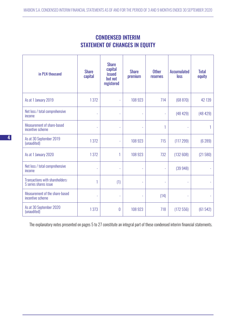|                                       | <b>CONDENSED INTERIM</b> |  |
|---------------------------------------|--------------------------|--|
| <b>STATEMENT OF CHANGES IN EQUITY</b> |                          |  |

| in PLN thousand                                          | <b>Share</b><br>capital  | <b>Share</b><br>capital<br><b>issued</b><br>but not<br>registered | <b>Share</b><br>premium | <b>Other</b><br><b>reserves</b> | <b>Accumulated</b><br>loss | <b>Total</b><br>equity |
|----------------------------------------------------------|--------------------------|-------------------------------------------------------------------|-------------------------|---------------------------------|----------------------------|------------------------|
| As at 1 January 2019                                     | 1372                     | L,                                                                | 108 923                 | 714                             | (68 870)                   | 42 139                 |
| Net loss / total comprehensive<br>income                 | ÷,                       |                                                                   |                         |                                 | (48429)                    | (48429)                |
| Measurement of share-based<br>incentive scheme           | $\overline{\phantom{a}}$ | ÷,                                                                |                         |                                 |                            |                        |
| As at 30 September 2019<br>(unaudited)                   | 1372                     | ÷,                                                                | 108 923                 | 715                             | (117299)                   | (6289)                 |
| As at 1 January 2020                                     | 1372                     |                                                                   | 108 923                 | 732                             | (132608)                   | (21580)                |
| Net loss / total comprehensive<br>income                 | $\bar{a}$                |                                                                   |                         |                                 | (39948)                    |                        |
| Transactions with shareholders:<br>S series shares issue | 1                        | (1)                                                               |                         |                                 |                            |                        |
| Measurement of the share-based<br>incentive scheme       | $\bar{\phantom{a}}$      | $\overline{\phantom{a}}$                                          |                         | (14)                            |                            |                        |
| As at 30 September 2020<br>(unaudited)                   | 1373                     | $\theta$                                                          | 108 923                 | 718                             | (172556)                   | (61542)                |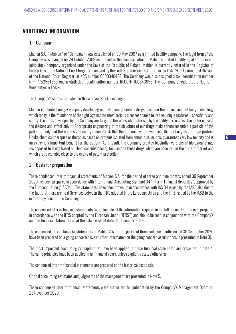## ADDITIONAL INFORMATION

## 1. Company

Mabion S.A. ("Mabion" or "Company") was established on 30 May 2007 as a limited liability company. The legal form of the Company was changed on 29 October 2009 as a result of the transformation of Mabion's limited liability legal status into a joint-stock company organized under the laws of the Republic of Poland. Mabion is currently entered in the Register of Enterprises of the National Court Register managed by the Łódź-Śródmieście District Court in Łódź, 20th Commercial Division of the National Court Register, at KRS number 0000340462. The Company was also assigned a tax identification number NIP: 7752561383 and a statistical identification number REGON: 100343056. The Company's registered office is in Konstantynów Łódzki.

The Company's shares are listed on the Warsaw Stock Exchange.

Mabion is a biotechnology company developing and introducing biotech drugs based on the monoclonal antibody technology which today is the foundation of the fight against the most serious diseases thanks to its two unique features – specificity and safety. The drugs developed by the Company are targeted therapies, characterised by the ability to recognise the factor causing the disease and affect only it. Appropriate engineering of the structure of our drugs makes them resemble a particle of the patient's body and there is a significantly reduced risk that the immune system will treat the antibody as a foreign protein. Unlike chemical therapies or therapies based on proteins isolated from animal tissues, this guarantees very low toxicity and is an extremely important benefit for the patient. As a result, the Company creates biosimilar versions of biological drugs (as opposed to drugs based on chemical substances), focusing on those drugs which are accepted in the current market and which are reasonably close to the expiry of patent protection.

## 2. Basis for preparation

These condensed interim financial statements of Mabion S.A. for the period of three and nine months ended 30 September 2020 has been prepared in accordance with International Accounting Standard 34 "Interim Financial Reporting", approved by the European Union ("IAS34"). The statements have been drawn up in accordance with IAS 34 issued by the IASB also due to the fact that there are no differences between the IFRS adopted in the European Union and the IFRS issued by the IASB to the extent they concern the Company.

The condensed interim financial statements do not include all the information required in the full financial statements prepared in accordance with the IFRS adopted by the European Union ("IFRS") and should be read in conjunction with the Company's audited financial statements as at the balance-sheet date 31 December 2019.

The condensed interim financial statements of Mabion S.A. for the period of three and nine months ended 30 September 2020 have been prepared on a going concern basis (further information on the going concern assumptions is presented in Note 3).

The most important accounting principles that have been applied in these financial statements are presented in note 4. The same principles have been applied in all financial years, unless explicitly stated otherwise.

The condensed interim financial statements are prepared on the historical cost basis.

Critical accounting estimates and judgments of the management are presented in Note 5.

These condensed interim financial statements were authorized for publication by the Company's Management Board on 23 November 2020.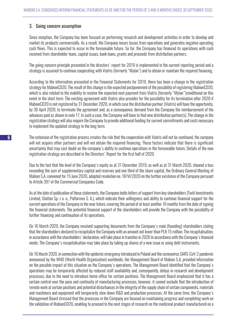## 3. Going concern assumption

Since inception, the Company has been focused on performing research and development activities in order to develop and market its products commercially. As a result, the Company incurs losses from operations and generates negative operating cash flows. This is expected to occur in the foreseeable future. So far, the Company has financed its operations with cash received from shareholder loans, capital issues, bank loans, grants and proceeds from distribution partners.

The going concern principle presented in the directors' report for 2019 is implemented in the current reporting period and a strategy is assumed to continue cooperating with Viatris (formerly "Mylan") and to obtain or maintain the required financing.

According to the information presented in the Financial Statements for 2019, there has been a change in the registration strategy for MabionCD20. The result of this change is the expected postponement of the possibility of registering MabionCD20, which is also related to the inability to receive the expected next payment from Viatris (formerly "Mylan")conditional on this event in the short term. The existing agreement with Viatris also provides for the possibility for its termination after 2020 if MabionCD20 is not registered by 31 December 2020, in which case the distribution partner (Viatris) will have the opportunity, by 30 April 2020, to terminate the agreement and, as a consequence, demand from the Company the reimbursement of the advances paid as shown in note 17. In such a case, the Company will have to find new distribution partner(s). The change in the registration strategy will also require the Company to provide additional funding for current commitments and costs necessary to implement the updated strategy in the long term.

The extension of the registration process creates the risk that the cooperation with Viatris will not be continued, the company will not acquire other partners and will not obtain the required financing. These factors indicate that there is significant uncertainty that may cast doubt on the company's ability to continue operations in the foreseeable future. Details of the new registration strategy are described in the Directors' Report for the first half of 2020.

Due to the fact that the level of the Company's equity as at 31 December 2019, as well as at 31 March 2020, showed a loss exceeding the sum of supplementary capital and reserves and one third of the share capital, the Ordinary General Meeting of Mabion S.A. convened for 15 June 2020, adopted resolution no. 18/VI/2020 on the further existence of the Company pursuant to Article 397 of the Commercial Companies Code.

As at the date of publication of these statements, the Company holds letters of support from key shareholders (Twiti Investments Limited, Glatton Sp. z o. o., Polfarmex S. A.), which indicate their willingness and ability to continue financial support for the current operations of the Company in the near future, covering the period of at least another 10 months from the date of signing the financial statements. The potential financial support of the shareholders will provide the Company with the possibility of further financing and continuation of its operations.

On 16 March 2020, the Company received supporting documents from the Company's main (founding) shareholders stating that the shareholders declared to recapitalize the Company with an amount not lower than PLN 15 million. The recapitalisation, in accordance with the shareholders' declaration, will take place in tranches in 2020 in accordance with the Company's financial needs. The Company's recapitalisation may take place by taking up shares of a new issue or using debt instruments.

On 16 March 2020, in connection with the epidemic emergency introduced in Poland and the coronavirus SARS-CoV-2 pandemic announced by the WHO (World Health Organization) worldwide, the Management Board of Mabion S.A. provided information on the possible impact of this situation on the Company's operations. The Management Board identified that the Company's operations may be temporarily affected by reduced staff availability and, consequently, delays in research and development processes, due to the need to introduce home office for certain positions. The Management Board emphasized that it has a certain control over the pace and continuity of manufacturing processes, however, it cannot exclude that the introduction of remote work at certain positions and potential disturbances in the integrity of the supply chain of certain components, materials and machinery and equipment will temporarily slow down R&D and production processes. At the same time, the Company's Management Board stressed that the processes in the Company are focused on maintaining progress and completing work on the validation of MabionCD20, enabling to proceed to the next stages of research on the medicinal product manufactured on a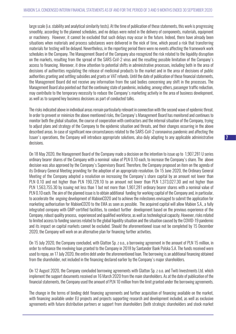large scale (i.e. stability and analytical similarity tests). At the time of publication of these statements, this work is progressing smoothly, according to the planned schedules, and no delays were noted in the delivery of components, materials, equipment or machinery. However, it cannot be excluded that such delays may occur in the future. Indeed, there have already been situations when materials and process substances were delivered in the nick of time, which posed a risk that transferring materials for testing will be delayed. Nevertheless, in the reporting period there were no events affecting the framework work schedules in the Company. The Management Board of the Company also recognized the risk related to the liquidity disruption on the markets, resulting from the spread of the SARS-CoV-2 virus and the resulting possible limitation of the Company's access to financing. Moreover, it drew attention to potential shifts in administrative processes, including both in the area of decisions of authorities regulating the release of medicinal products to the market and in the area of decisions of public authorities granting and settling subsidies and grants or VAT refunds. Until the date of publication of these financial statements, the Management Board did not receive any information from the said bodies concerning any shift in the processes. The Management Board also pointed out that the continuing state of pandemic, including, among others, passenger traffic reduction, may contribute to the temporary necessity to reduce the Company's marketing activity in the area of business development, as well as to suspend key business decisions as part of conducted talks.

The risks indicated above in individual areas remain particularly relevant in connection with the second wave of epidemic threat. In order to prevent or minimize the above mentioned risks, the Company's Management Board has monitored and continues to monitor both the global situation, the course of cooperation with contractors and the internal situation of the Company, trying to adjust plans and strategy of the Company to the epidemic situation and threats, and their changes occurring in the above described areas. In case of significant new circumstances related to the SARS-CoV-2 coronavirus pandemic and affecting the Issuer's operations, the Company will introduce appropriate solutions, also duly adapting to any applicable administrative decisions.

On 18 May 2020, the Management Board of the Company made a decision on the intention to issue up to 1,907,281 U series ordinary bearer shares of the Company with a nominal value of PLN 0.10 each, to increase the Company's share. The above decision was also approved by the Company's Supervisory Board. Therefore, the Company proposed an item on the agenda of its Ordinary General Meeting providing for the adoption of an appropriate resolution. On 15 June 2020, the Ordinary General Meeting of the Company adopted a resolution on increasing the Company's share capital by an amount not lower than PLN 0.10 and not higher than PLN 190,728.10 to an amount not lower than PLN 1,373,027.30 and not higher than PLN 1,563,755.30 by issuing not less than 1 but not more than 1,907,281 ordinary bearer shares with a nominal value of PLN 0.10 each. The aim of the planned issue is to obtain additional funding for working capital of the Company and, in particular, to accelerate the ongoing development of MabionCD20 and to achieve the milestones envisaged to submit the application for marketing authorisation for MabionCD20 to the EMA as soon as possible. The acquired capital will allow Mabion S.A., a fully integrated company with GMP-certified facilities, to conduct further development based on the previous experience of the Company, robust quality process, experienced and qualified workforce, as well as technological capacity. However, risks related to limited access to funding sources related to the global liquidity situation and the situation caused by the COVID-19 pandemic and its impact on capital markets cannot be excluded. Should the aforementioned issue not be completed by 15 December 2020, the Company will work on an alternative plan for financing further activities.

On 15 July 2020, the Company concluded, with Glatton Sp. z o.o., a borrowing agreement in the amount of PLN 15 million, in order to refinance the revolving loan granted to the Company in 2018 by Santander Bank Polska S.A. The funds received were used to repay, on 17 July 2020, the entire debt under the aforementioned loan. The borrowing is an additional financing obtained from the shareholder, not included in the financing declared earlier by the Company's major shareholders.

On 12 August 2020, the Company concluded borrowing agreements with Glatton Sp. z o.o. and Twiti Investments Ltd. which implement the support documents received on 16 March 2020 from the main shareholders. As at the date of publication of the financial statements, the Company used the amount of PLN 10 million from the limit granted under the borrowing agreements.

The change in the terms of binding debt financing agreements and further acquisition of financing available on the market, with financing available under EU projects and projects supporting research and development included, as well as exclusive agreements with future distribution partners or support from shareholders (both strategic shareholders and stock market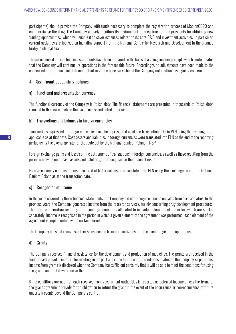participants) should provide the Company with funds necessary to complete the registration process of MabionCD20 and commercialise the drug. The Company actively monitors its environment to keep track on the prospects for obtaining new funding opportunities, which will enable it to cover expenses related to its core R&D and investment activities. In particular, current activities are focused on including support from the National Centre for Research and Development in the planned bridging clinical trial.

These condensed interim financial statements have been prepared on the basis of a going concern principle which contemplates that the Company will continue its operations in the foreseeable future. Accordingly, no adjustments have been made to the condensed interim financial statements that might be necessary should the Company not continue as a going concern.

## 4. Significant accounting policies

## a) Functional and presentation currency

The functional currency of the Company is Polish zloty. The financial statements are presented in thousands of Polish zloty, rounded to the nearest whole thousand, unless indicated otherwise.

## b) Transactions and balances in foreign currencies

Transactions expressed in foreign currencies have been presented as at the transaction date in PLN using the exchange rate applicable as at that date. Cash assets and liabilities in foreign currencies were translated into PLN at the end of the reporting period using the exchange rate for that date set by the National Bank of Poland ("NBP").

Foreign exchange gains and losses on the settlement of transactions in foreign currencies, as well as those resulting from the periodic conversion of cash assets and liabilities, are recognised in the financial result.

Foreign currency non-cash items measured at historical cost are translated into PLN using the exchange rate of the National Bank of Poland as at the transaction date.

## c) Recognition of income

In the years covered by these financial statements, the Company did not recognise income on sales from core activities. In the previous years, the Company generated income from the research services, mainly concerning drug development procedures. The total remuneration resulting from such agreements is allocated to individual elements of the order, which are settled separately. Income is recognised in the period in which a given element of the agreement was performed; each element of the agreement is implemented over a certain period.

The Company does not recognise other sales income from core activities at the current stage of its operations.

## d) Grants

The Company receives financial assistance for the development and production of medicines. The grants are received in the form of cash provided in return for meeting, in the past and in the future, certain conditions relating to the Company's operations. Income from grants is disclosed when the Company has sufficient certainty that it will be able to meet the conditions for using the grants and that it will receive them.

If the conditions are not met, cash received from government authorities is reported as deferred income unless the terms of the grant agreement provide for an obligation to return the grant in the event of the occurrence or non-occurrence of future uncertain events beyond the Company's control.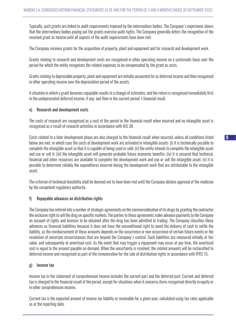Typically, such grants are linked to audit requirements imposed by the intermediary bodies. The Company's experience shows that the intermediary bodies paying out the grants exercise audit rights. The Company generally defers the recognition of the received grant as income until all aspects of the audit requirements have been met.

The Company receives grants for the acquisition of property, plant and equipment and for research and development work.

Grants relating to research and development costs are recognised in other operating income on a systematic basis over the period for which the entity recognises the related expenses to be compensated by the grant as costs.

Grants relating to depreciable property, plant and equipment are initially accounted for as deferred income and then recognised in other operating income over the depreciation period of the assets.

A situation in which a grant becomes repayable results in a change of estimates, and the return is recognised immediately first in the undepreciated deferred income, if any, and then in the current period's financial result.

## e) Research and development costs

The costs of research are recognised as a cost of the period in the financial result when incurred and no intangible asset is recognised as a result of research activities in accordance with IAS 38.

Costs related to a later development phase are also charged to the financial result when incurred, unless all conditions listed below are met, in which case the costs of development work are activated in intangible assets: (i) it is technically possible to complete the intangible asset so that it is capable of being used or sold; (ii) the entity intends to complete the intangible asset and use or sell it; (iii) the intangible asset will generate probable future economic benefits; (iv) it is ensured that technical, financial and other resources are available to complete the development work and use or sell the intangible asset; (v) it is possible to determine reliably the expenditures incurred during the development work that are attributable to the intangible asset.

The criterion of technical feasibility shall be deemed not to have been met until the Company obtains approval of the medicine by the competent regulatory authority.

#### f) Repayable advances on distribution rights

The Company has entered into a number of strategic agreements on the commercialisation of its drugs by granting the contractor the exclusive right to sell the drug on specific markets. The parties to these agreements make advance payments to the Company on account of rights and licenses to be obtained after the drug has been admitted to trading. The Company classifies these advances as financial liabilities because it does not have the unconditional right to avoid the delivery of cash to settle the liability, as the reimbursement of these amounts depends on the occurrence or non-occurrence of certain future events or the resolution of uncertain circumstances that are beyond the Company's control. Such liabilities are measured initially at fair value, and subsequently at amortised cost. As the event that may trigger a repayment may occur at any time, the amortised cost is equal to the amount payable on demand. When the uncertainty is resolved, the related amounts will be reclassified to deferred income and recognised as part of the remuneration for the sale of distribution rights in accordance with IFRS 15.

## g) Income tax

Income tax in the statement of comprehensive income includes the current part and the deferred part. Current and deferred tax is charged to the financial result of the period, except for situations when it concerns items recognised directly in equity or in other comprehensive income.

Current tax is the expected amount of income tax liability or receivable for a given year, calculated using tax rates applicable as at the reporting date.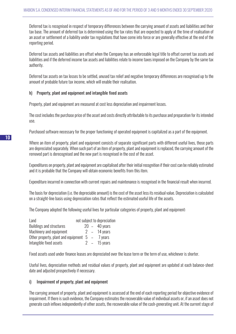Deferred tax is recognised in respect of temporary differences between the carrying amount of assets and liabilities and their tax base. The amount of deferred tax is determined using the tax rates that are expected to apply at the time of realisation of an asset or settlement of a liability under tax regulations that have come into force or are generally effective at the end of the reporting period.

Deferred tax assets and liabilities are offset when the Company has an enforceable legal title to offset current tax assets and liabilities and if the deferred income tax assets and liabilities relate to income taxes imposed on the Company by the same tax authority.

Deferred tax assets on tax losses to be settled, unused tax relief and negative temporary differences are recognised up to the amount of probable future tax income, which will enable their realisation.

## h) Property, plant and equipment and intangible fixed assets

Property, plant and equipment are measured at cost less depreciation and impairment losses.

The cost includes the purchase price of the asset and costs directly attributable to its purchase and preparation for its intended use.

Purchased software necessary for the proper functioning of operated equipment is capitalized as a part of the equipment.

Where an item of property, plant and equipment consists of separate significant parts with different useful lives, those parts are depreciated separately. When such part of an item of property, plant and equipment is replaced, the carrying amount of the removed part is derecognised and the new part is recognised in the cost of the asset.

Expenditures on property, plant and equipment are capitalised after their initial recognition if their cost can be reliably estimated and it is probable that the Company will obtain economic benefits from this item.

Expenditure incurred in connection with current repairs and maintenance is recognised in the financial result when incurred.

The basis for depreciation (i.e. the depreciable amount) is the cost of the asset less its residual value. Depreciation is calculated on a straight-line basis using depreciation rates that reflect the estimated useful life of the assets.

The Company adopted the following useful lives for particular categories of property, plant and equipment:

| Land                                              |  | not subject to depreciation |
|---------------------------------------------------|--|-----------------------------|
| <b>Buildings and structures</b>                   |  | $20 - 40$ years             |
| Machinery and equipment                           |  | $2 - 14$ years              |
| Other property, plant and equipment $5 - 7$ years |  |                             |
| Intangible fixed assets                           |  | $2 - 15$ vears              |

Fixed assets used under finance leases are depreciated over the lease term or the term of use, whichever is shorter.

Useful lives, depreciation methods and residual values of property, plant and equipment are updated at each balance-sheet date and adjusted prospectively if necessary.

## i) Impairment of property, plant and equipment

The carrying amount of property, plant and equipment is assessed at the end of each reporting period for objective evidence of impairment. If there is such evidence, the Company estimates the recoverable value of individual assets or, if an asset does not generate cash inflows independently of other assets, the recoverable value of the cash-generating unit. At the current stage of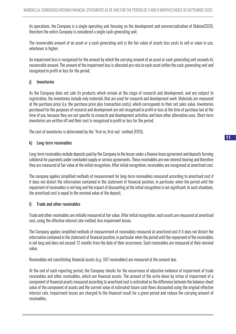its operations, the Company is a single operating unit focusing on the development and commercialization of MabionCD20, therefore the entire Company is considered a single cash-generating unit.

The recoverable amount of an asset or a cash-generating unit is the fair value of assets less costs to sell or value in use, whichever is higher.

An impairment loss is recognised for the amount by which the carrying amount of an asset or cash-generating unit exceeds its recoverable amount. The amount of the impairment loss is allocated pro rata to each asset within the cash-generating unit and recognised in profit or loss for the period.

## j) Inventories

As the Company does not sale its products which remain at the stage of research and development, and are subject to registration, the inventories include only materials that are used for research and development work. Materials are measured at the purchase price (i.e. the purchase price plus transaction costs), which corresponds to their net sales value. Inventories purchased for the purposes of research and development are not recognised in profit or loss at the time of purchase but at the time of use, because they are not specific to research and development activities and have other alternative uses. Short-term inventories are written off and their cost is recognised in profit or loss for the period.

The cost of inventories is determined by the 'first-in, first-out' method (FIFO).

## k) Long-term receivables

Long-term receivables include deposits paid by the Company to the lessor under a finance lease agreement and deposits forming collateral for payments under concluded supply or service agreements. These receivables are non-interest bearing and therefore they are measured at fair value at the initial recognition. After initial recognition, receivables are recognised at amortised cost.

The company applies simplified methods of measurement for long-term receivables measured according to amortised cost if it does not distort the information contained in the statement of financial position, in particular when the period until the repayment of receivables is not long and the impact of discounting at the initial recognition is not significant. In such situations, the amortised cost is equal to the nominal value of the deposit.

## l) Trade and other receivables

Trade and other receivables are initially measured at fair value. After initial recognition, such assets are measured at amortised cost, using the effective interest rate method, less impairment losses.

The Company applies simplified methods of measurement of receivables measured at amortized cost if it does not distort the information contained in the statement of financial position, in particular when the period until the repayment of the receivables is not long and does not exceed 12 months from the date of their occurrence. Such receivables are measured at their nominal value.

Receivables not constituting financial assets (e.g. VAT receivables) are measured at the amount due.

At the end of each reporting period, the Company checks for the occurrence of objective evidence of impairment of trade receivables and other receivables, which are financial assets. The amount of the write-down by virtue of impairment of a component of financial assets measured according to amortised cost is estimated as the difference between the balance-sheet value of the component of assets and the current value of estimated future cash flows discounted using the original effective interest rate. Impairment losses are charged to the financial result for a given period and reduce the carrying amount of receivables.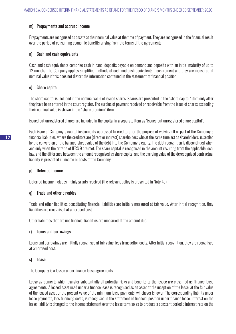## m) Prepayments and accrued income

Prepayments are recognised as assets at their nominal value at the time of payment. They are recognised in the financial result over the period of consuming economic benefits arising from the terms of the agreements.

## n) Cash and cash equivalents

Cash and cash equivalents comprise cash in hand, deposits payable on demand and deposits with an initial maturity of up to 12 months. The Company applies simplified methods of cash and cash equivalents measurement and they are measured at nominal value if this does not distort the information contained in the statement of financial position.

## o) Share capital

The share capital is included in the nominal value of issued shares. Shares are presented in the "share capital" item only after they have been entered in the court register. The surplus of payment received or receivable from the issue of shares exceeding their nominal value is shown in the "share premium" item.

Issued but unregistered shares are included in the capital in a separate item as 'issued but unregistered share capital'.

Each issue of Company's capital instruments addressed to creditors for the purpose of waiving all or part of the Company's financial liabilities, where the creditors are (direct or indirect) shareholders who at the same time act as shareholders, is settled by the conversion of the balance-sheet value of the debt into the Company's equity. The debt recognition is discontinued when and only when the criteria of IFRS 9 are met. The share capital is recognised in the amount resulting from the applicable local law, and the difference between the amount recognised as share capital and the carrying value of the derecognised contractual liability is presented in income or costs of the Company.

## p) Deferred income

Deferred income includes mainly grants received (the relevant policy is presented in Note 4d).

## q) Trade and other payables

Trade and other liabilities constituting financial liabilities are initially measured at fair value. After initial recognition, they liabilities are recognised at amortised cost.

Other liabilities that are not financial liabilities are measured at the amount due.

## r) Loans and borrowings

Loans and borrowings are initially recognised at fair value, less transaction costs. After initial recognition, they are recognised at amortised cost.

## s) Lease

The Company is a lessee under finance lease agreements.

Lease agreements which transfer substantially all potential risks and benefits to the lessee are classified as finance lease agreements. A leased asset used under a finance lease is recognised as an asset at the inception of the lease, at the fair value of the leased asset or the present value of the minimum lease payments, whichever is lower. The corresponding liability under lease payments, less financing costs, is recognised in the statement of financial position under finance lease. Interest on the lease liability is charged to the income statement over the lease term so as to produce a constant periodic interest rate on the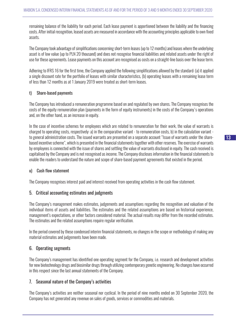remaining balance of the liability for each period. Each lease payment is apportioned between the liability and the financing costs. After initial recognition, leased assets are measured in accordance with the accounting principles applicable to own fixed assets.

The Company took advantage of simplifications concerning short-term leases (up to 12 months) and leases where the underlying asset is of low value (up to PLN 20 thousand) and does not recognise financial liabilities and related assets under the right of use for these agreements. Lease payments on this account are recognised as costs on a straight-line basis over the lease term.

Adhering to IFRS 16 for the first time, the Company applied the following simplifications allowed by the standard: (a) it applied a single discount rate for the portfolio of leases with similar characteristics, (b) operating leases with a remaining lease term of less than 12 months as at 1 January 2019 were treated as short-term leases.

## t) Share-based payments

The Company has introduced a remuneration programme based on and regulated by own shares. The Company recognises the costs of the equity remuneration plan (payments in the form of equity instruments) in the costs of the Company's operations and, on the other hand, as an increase in equity.

In the case of incentive schemes for employees which are related to remuneration for their work, the value of warrants is charged to operating costs, respectively: a) in the comparative variant - to remuneration costs, b) in the calculation variant to general administration costs. The issued warrants are presented on a separate account "Issue of warrants under the sharebased incentive scheme", which is presented in the financial statements together with other reserves. The exercise of warrants by employees is connected with the issue of shares and settling the value of warrants disclosed in equity. The cash received is capitalised by the Company and is not recognised as income. The Company discloses information in the financial statements to enable the readers to understand the nature and scope of share-based payment agreements that existed in the period.

## u) Cash flow statement

The Company recognises interest paid and interest received from operating activities in the cash flow statement.

## 5. Critical accounting estimates and judgments

The Company's management makes estimates, judgements and assumptions regarding the recognition and valuation of the individual items of assets and liabilities. The estimates and the related assumptions are based on historical experience, management's expectations, or other factors considered material. The actual results may differ from the recorded estimates. The estimates and the related assumptions require regular verification.

In the period covered by these condensed interim financial statements, no changes in the scope or methodology of making any material estimates and judgements have been made.

## 6. Operating segments

The Company's management has identified one operating segment for the Company, i.e. research and development activities for new biotechnology drugs and biosimilar drugs through utilizing contemporary genetic engineering. No changes have occurred in this respect since the last annual statements of the Company.

## 7. Seasonal nature of the Company's activities

The Company's activities are neither seasonal nor cyclical. In the period of nine months ended on 30 September 2020, the Company has not generated any revenue on sales of goods, services or commodities and materials.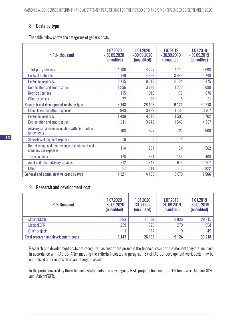## 8. Costs by type

The table below shows the categories of generic costs:

| in PLN thousand                                                        | 1.07.2020<br>$-30.09.2020$<br>(unaudited) | 1.01.2020<br>$-30.09.2020$<br>(unaudited) | 1.07.2019<br>$-30.09.2019$<br>(unaudited) | 1.01.2019<br>$-30.09.2019$<br>(unaudited) |
|------------------------------------------------------------------------|-------------------------------------------|-------------------------------------------|-------------------------------------------|-------------------------------------------|
| Third-party services                                                   | 1186                                      | 4 2 2 7                                   | 1119                                      | 5 5 9 8                                   |
| Costs of materials                                                     | 1149                                      | 8869                                      | 3896                                      | 11748                                     |
| Personnel expenses                                                     | 2 4 1 5                                   | 8 2 1 6                                   | 2 7 0 4                                   | 8 4 7 5                                   |
| Depreciation and amortisation                                          | 1256                                      | 3799                                      | 1222                                      | 3690                                      |
| <b>Registration fees</b>                                               | 115                                       | 1016                                      | 178                                       | 676                                       |
| Other expenses                                                         | 22                                        | 66                                        | 5                                         | 31                                        |
| Research and development costs by type                                 | 6 1 4 3                                   | 26 193                                    | 9 1 2 4                                   | 30 218                                    |
| Office lease and office expenses                                       | 943                                       | 3 1 8 9                                   | 1163                                      | 3707                                      |
| Personnel expenses                                                     | 1490                                      | 4716                                      | 1597                                      | 5702                                      |
| Depreciation and amortisation                                          | 1011                                      | 3746                                      | 1549                                      | 4597                                      |
| Advisory services in connection with distribution<br>agreements        | 168                                       | 527                                       | 127                                       | 500                                       |
| Share-based payment expense                                            | 10                                        |                                           | 14                                        |                                           |
| Rental, usage and maintenance of equipment and<br>company car expenses | 114                                       | 297                                       | 134                                       | 562                                       |
| <b>Taxes and fees</b>                                                  | 178                                       | 561                                       | 156                                       | 468                                       |
| Audit and other advisory services                                      | 312                                       | 843                                       | 616                                       | 1 207                                     |
| <b>Other</b>                                                           | 81                                        | 314                                       | 317                                       | 822                                       |
| General and administrative costs by type                               | 4 3 21                                    | 14 193                                    | 5 6 7 3                                   | 17566                                     |

## 9. Research and development cost

| in PLN thousand                             | 1.07.2020<br>$-30.09.2020$<br>(unaudited) | 1.01.2020<br>$-30.09.2020$<br>(unaudited) | 1.07.2019<br>$-30.09.2019$<br>(unaudited) | 1.01.2019<br>$-30.09.2019$<br>(unaudited) |
|---------------------------------------------|-------------------------------------------|-------------------------------------------|-------------------------------------------|-------------------------------------------|
| MabionCD20                                  | 5883                                      | 25 151                                    | 8836                                      | 29 215                                    |
| <b>MabionEGFR</b>                           | 259                                       | 928                                       | 279                                       | 954                                       |
| Other projects                              |                                           | 114                                       | 9                                         | 49                                        |
| <b>Total research and development costs</b> | 6 1 4 3                                   | 26 193                                    | 9 1 24                                    | 30 218                                    |

Research and development costs are recognized as cost of the period in the financial result at the moment they are incurred, in accordance with IAS 38. After meeting the criteria indicated in paragraph 57 of IAS 38, development work costs may be capitalized and recognized as an intangible asset.

In the period covered by these financial statements, the only ongoing R&D projects financed from EU funds were MabionCD20 and MabionEGFR.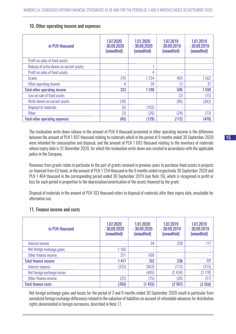## 10. Other operating income and expenses

| in PLN thousand                          | 1.07.2020<br>$-30.09.2020$<br>(unaudited) | 1.01.2020<br>$-30.09.2020$<br>(unaudited) | 1.07.2019<br>$-30.09.2019$<br>(unaudited) | 1.01.2019<br>$-30.09.2019$<br>(unaudited) |
|------------------------------------------|-------------------------------------------|-------------------------------------------|-------------------------------------------|-------------------------------------------|
| Profit on sales of fixed assets          | ٠                                         | ٠                                         | ۰                                         |                                           |
| Release of write-downs on current assets | ٠                                         |                                           | ۰                                         |                                           |
| Profit on sales of fixed assets          | ٠                                         | 4                                         | ۰                                         |                                           |
| Grants                                   | 319                                       | 1254                                      | 493                                       | 1562                                      |
| Other operating income                   | 4                                         | 39                                        | 13                                        | 37                                        |
| <b>Total other operating income</b>      | 323                                       | 1 2 9 8                                   | 506                                       | 1599                                      |
| Loss on sale of fixed assets             |                                           |                                           | (2)                                       | (15)                                      |
| Write-downs on current assets            | (36)                                      |                                           | (86)                                      | (382)                                     |
| Disposal of materials                    | (6)                                       | (103)                                     | ۰                                         |                                           |
| <b>Other</b>                             | (3)                                       | (26)                                      | (24)                                      | (73)                                      |
| <b>Total other operating expenses</b>    | (45)                                      | (129)                                     | (112)                                     | (470)                                     |

The revaluation write-down release in the amount of PLN 4 thousand presented in other operating income is the difference between the amount of PLN 1 697 thousand relating to materials which in the period of 9 months ended 30 September 2020 were intended for consumption and disposal, and the amount of PLN 1 693 thousand relating to the inventory of materials whose expiry date is 31 December 2020, for which the revaluation write-down was created in accordance with the applicable policy in the Company.

Revenues from grants relate in particular to the part of grants received in previous years to purchase fixed assets in projects co-financed from EU funds, in the amount of PLN 1 254 thousand in the 9 months ended respectively 30 September 2020 and PLN 1 464 thousand in the corresponding period ended 30 September 2019 (see Note 16), which is recognised in profit or loss for each period in proportion to the depreciation/amortisation of the assets financed by the grant.

Disposal of materials in the amount of PLN 103 thousand refers to disposal of materials after their expiry date, unsuitable for alternative use.

## 11. Finance income and costs

| in PLN thousand             | 1.07.2020<br>$-30.09.2020$<br>(unaudited) | 1.01.2020<br>$-30.09.2020$<br>(unaudited) | 1.07.2019<br>$-30.09.2019$<br>(unaudited) | 1.01.2019<br>$-30.09.2019$<br>(unaudited) |
|-----------------------------|-------------------------------------------|-------------------------------------------|-------------------------------------------|-------------------------------------------|
| Interest income             | ٠                                         | 34                                        | 238                                       | 777                                       |
| Net foreign exchange gains  | 1166                                      | ۰                                         | ٠                                         |                                           |
| Other finance income        | 251                                       | 668                                       | ٠                                         |                                           |
| <b>Total finance income</b> | 1417                                      | 702                                       | 238                                       | 777                                       |
| Interest expense            | (325)                                     | (863)                                     | (113)                                     | (315)                                     |
| Net foreign exchange losses | ٠                                         | (495)                                     | (2434)                                    | (2178)                                    |
| Other finance income        | (25)                                      | (75)                                      | (20)                                      | (57)                                      |
| <b>Total finance costs</b>  | (350)                                     | (1433)                                    | (2567)                                    | (2550)                                    |

Net foreign exchange gains and losses for the period of 3 and 9 months ended 30 September 2020 result in particular from unrealized foreign exchange differences related to the valuation of liabilities on account of refundable advances for distribution rights denominated in foreign currencies, described in Note 17.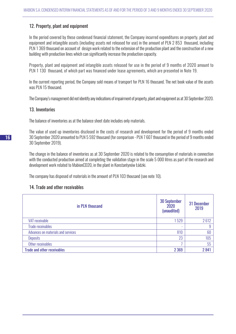## 12. Property, plant and equipment

In the period covered by these condensed financial statement, the Company incurred expenditures on property, plant and equipment and intangible assets (including assets not released for use) in the amount of PLN 2 853 thousand, including PLN 1 369 thousand on account of design work related to the extension of the production plant and the construction of a new building with production lines which can significantly increase the production capacity.

Property, plant and equipment and intangible assets released for use in the period of 9 months of 2020 amount to PLN 1 130 thousand, of which part was financed under lease agreements, which are presented in Note 19.

In the current reporting period, the Company sold means of transport for PLN 16 thousand. The net book value of the assets was PLN 15 thousand.

The Company's management did not identify any indications of impairment of property, plant and equipment as at 30 September 2020.

## 13. Inventories

The balance of inventories as at the balance sheet date includes only materials.

The value of used up inventories disclosed in the costs of research and development for the period of 9 months ended 30 September 2020 amounted to PLN 5 592 thousand (for comparison - PLN 7 607 thousand in the period of 9 months ended 30 September 2019).

The change in the balance of inventories as at 30 September 2020 is related to the consumption of materials in connection with the conducted production aimed at completing the validation stage in the scale 5 000 litres as part of the research and development work related to MabionCD20, in the plant in Konstantynów Łódzki.

The company has disposed of materials in the amount of PLN 103 thousand (see note 10).

## 14. Trade and other receivables

| in PLN thousand                    | <b>30 September</b><br>2020<br>(unaudited) | 31 December<br>2019 |
|------------------------------------|--------------------------------------------|---------------------|
| <b>VAT receivable</b>              | 1529                                       | 2612                |
| <b>Trade receivables</b>           |                                            | 9                   |
| Advances on materials and services | 810                                        | 60                  |
| <b>Deposits</b>                    | 23                                         | 105                 |
| Other receivables                  |                                            | 55                  |
| <b>Trade and other receivables</b> | 2 3 6 9                                    | 2841                |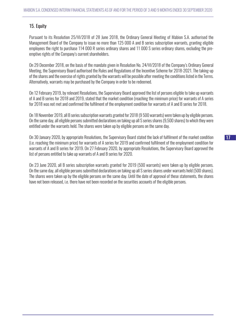## 15. Equity

Pursuant to its Resolution 25/VI/2018 of 28 June 2018, the Ordinary General Meeting of Mabion S.A. authorised the Management Board of the Company to issue no more than 125 000 A and B series subscription warrants, granting eligible employees the right to purchase 114 000 R series ordinary shares and 11 000 S series ordinary shares, excluding the preemptive rights of the Company's current shareholders.

On 29 December 2018, on the basis of the mandate given in Resolution No. 24/VI/2018 of the Company's Ordinary General Meeting, the Supervisory Board authorised the Rules and Regulations of the Incentive Scheme for 2018-2021. The taking-up of the shares and the exercise of rights granted by the warrants will be possible after meeting the conditions listed in the Terms. Alternatively, warrants may be purchased by the Company in order to be redeemed.

On 12 February 2019, by relevant Resolutions, the Supervisory Board approved the list of persons eligible to take up warrants of A and B series for 2018 and 2019, stated that the market condition (reaching the minimum price) for warrants of A series for 2018 was not met and confirmed the fulfilment of the employment condition for warrants of A and B series for 2018.

On 18 November 2019, all B series subscription warrants granted for 2018 (9 500 warrants) were taken up by eligible persons. On the same day, all eligible persons submitted declarations on taking up all S series shares (9,500 shares) to which they were entitled under the warrants held. The shares were taken up by eligible persons on the same day.

On 30 January 2020, by appropriate Resolutions, the Supervisory Board stated the lack of fulfilment of the market condition (i.e. reaching the minimum price) for warrants of A series for 2019 and confirmed fulfilment of the employment condition for warrants of A and B series for 2019. On 27 February 2020, by appropriate Resolutions, the Supervisory Board approved the list of persons entitled to take up warrants of A and B series for 2020.

On 23 June 2020, all B series subscription warrants granted for 2019 (500 warrants) were taken up by eligible persons. On the same day, all eligible persons submitted declarations on taking up all S series shares under warrants held (500 shares). The shares were taken up by the eligible persons on the same day. Until the date of approval of these statements, the shares have not been released, i.e. there have not been recorded on the securities accounts of the eligible persons.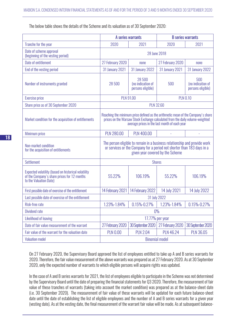The below table shows the details of the Scheme and its valuation as of 30 September 2020:

|                                                                                                                              | A series warrants                                                                                                                                                                                                  |                                                  | <b>B</b> series warrants |                                               |
|------------------------------------------------------------------------------------------------------------------------------|--------------------------------------------------------------------------------------------------------------------------------------------------------------------------------------------------------------------|--------------------------------------------------|--------------------------|-----------------------------------------------|
| Tranche for the year                                                                                                         | 2020                                                                                                                                                                                                               | 2021                                             | 2020                     | 2021                                          |
| Date of scheme approval<br>(beginning of the vesting period)                                                                 | 28 June 2018                                                                                                                                                                                                       |                                                  |                          |                                               |
| Date of entitlement                                                                                                          | 27 February 2020                                                                                                                                                                                                   | none                                             | 27 February 2020         | none                                          |
| End of the vesting period                                                                                                    | <b>31 January 2021</b>                                                                                                                                                                                             | <b>31 January 2022</b>                           | <b>31 January 2021</b>   | <b>31 January 2022</b>                        |
| Number of instruments granted                                                                                                | 28 500                                                                                                                                                                                                             | 28 500<br>(no indication of<br>persons eligible) | 500                      | 500<br>(no indication of<br>persons eligible) |
| <b>Exercise price</b>                                                                                                        | <b>PLN 91.00</b><br><b>PLN 0.10</b>                                                                                                                                                                                |                                                  |                          |                                               |
| Share price as of 30 September 2020                                                                                          | <b>PLN 32.60</b>                                                                                                                                                                                                   |                                                  |                          |                                               |
| Market condition for the acquisition of entitlements                                                                         | Reaching the minimum price defined as the arithmetic mean of the Company's share<br>prices on the Warsaw Stock Exchange calculated from the daily volume-weighted<br>average prices in the last month of each year |                                                  |                          |                                               |
| Minimum price                                                                                                                | <b>PLN 280.00</b>                                                                                                                                                                                                  | <b>PLN 400.00</b>                                |                          |                                               |
| Non-market condition<br>for the acquisition of entitlements                                                                  | The person eligible to remain in a business relationship and provide work<br>or services or the Company for a period not shorter than 183 days in a<br>given year covered by the Scheme                            |                                                  |                          |                                               |
| <b>Settlement</b>                                                                                                            | <b>Shares</b>                                                                                                                                                                                                      |                                                  |                          |                                               |
| Expected volatility (based on historical volatility<br>of the Company's share prices for 12 months<br>to the Valuation Date) | 55.22%                                                                                                                                                                                                             | 106.19%                                          | 55.22%                   | 106.19%                                       |
| First possible date of exercise of the entitlement                                                                           | 14 February 2021                                                                                                                                                                                                   | 14 February 2022                                 | 14 July 2021             | 14 July 2022                                  |
| Last possible date of exercise of the entitlement                                                                            | 31 July 2022                                                                                                                                                                                                       |                                                  |                          |                                               |
| Risk-free rate                                                                                                               | 1.23%-1.84%                                                                                                                                                                                                        | $0.15% - 0.27%$                                  | 1.23%-1.84%              | $0.15\% - 0.27\%$                             |
| <b>Dividend rate</b>                                                                                                         | $0\%$                                                                                                                                                                                                              |                                                  |                          |                                               |
| <b>Likelihood of leaving</b>                                                                                                 | 17.77% per year                                                                                                                                                                                                    |                                                  |                          |                                               |
| Date of fair value measurement of the warrant                                                                                | 27 February 2020                                                                                                                                                                                                   | 30 September 2020                                | 27 February 2020         | 30 September 2020                             |
| Fair value of the warrant for the valuation date                                                                             | <b>PLN 0.00</b>                                                                                                                                                                                                    | <b>PLN 2.04</b>                                  | <b>PLN 46.24</b>         | <b>PLN 36.05</b>                              |
| <b>Valuation model</b>                                                                                                       | <b>Binomial model</b>                                                                                                                                                                                              |                                                  |                          |                                               |

On 27 February 2020, the Supervisory Board approved the list of employees entitled to take up A and B series warrants for 2020. Therefore, the fair value measurement of the above warrants was prepared as at 27 February 2020. As at 30 September 2020, only the expected number of warrants to which eligible persons will acquire rights was updated.

In the case of A and B series warrants for 2021, the list of employees eligible to participate in the Scheme was not determined by the Supervisory Board until the date of preparing the financial statements for Q3 2020. Therefore, the measurement of fair value of these tranches of warrants (taking into account the market condition) was prepared as at the balance-sheet date (i.e. 30 September 2020). The measurement of fair value of these warrants will be updated for each future balance-sheet date until the date of establishing the list of eligible employees and the number of A and B series warrants for a given year (vesting date). As at the vesting date, the final measurement of the warrant fair value will be made. As at subsequent balance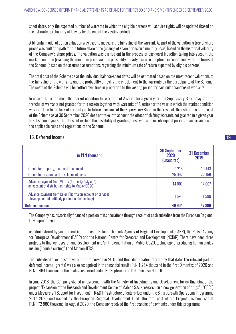sheet dates, only the expected number of warrants to which the eligible persons will acquire rights will be updated (based on the estimated probability of leaving by the end of the vesting period).

A binomial model of option valuation was used to measure the fair value of the warrant. As part of the valuation, a tree of share prices was built as a path for the future share price (change of share prices on a monthly basis) based on the historical volatility of the Company's share prices. The valuation was carried out in the process of backward induction taking into account the market condition (reaching the minimum price) and the possibility of early exercise of options in accordance with the terms of the Scheme (based on the assumed assumptions regarding the minimum rate of return expected by eligible persons).

The total cost of the Scheme as at the individual balance-sheet dates will be estimated based on the most recent valuations of the fair value of the warrants and the probability of losing the entitlement to the warrants by the participants of the Scheme. The costs of the Scheme will be settled over time in proportion to the vesting period for particular tranches of warrants.

In case of failure to meet the market condition for warrants of A series for a given year, the Supervisory Board may grant a tranche of warrants not granted for this reason together with warrants of A series for the year in which the market condition was met. Due to the lack of certainty as to future decisions of the Supervisory Board in this respect, the estimation of the cost of the Scheme as at 30 September 2020 does not take into account the effect of shifting warrants not granted in a given year to subsequent years. This does not exclude the possibility of granting these warrants in subsequent periods in accordance with the applicable rules and regulations of the Scheme.

## 16. Deferred income

| in PLN thousand                                                                                             | <b>30 September</b><br>2020<br>(unaudited) | 31 December<br>2019 |
|-------------------------------------------------------------------------------------------------------------|--------------------------------------------|---------------------|
| Grants for property, plant and equipment                                                                    | 9 2 1 5                                    | 10 143              |
| Grants for research and development costs                                                                   | 25 0 92                                    | 22 156              |
| Advance payment from Viatris (formerly: "Mylan")<br>on account of distribution rights to MabionCD20         | 14 007                                     | 14 007              |
| Advance payment from Celon Pharma on account of services<br>(development of antibody production technology) | 1590                                       | 1590                |
| <b>Deferred income</b>                                                                                      | 49 904                                     | 47896               |

The Company has historically financed a portion of its operations through receipt of cash subsidies from the European Regional Development Fund

as administered by government institutions in Poland: The Lodz Agency of Regional Development (ŁARR), the Polish Agency for Enterprise Development (PARP) and the National Centre for Research and Development (NCBiR). There have been three projects to finance research and development and/or implementation of MabionCD20, technology of producing human analog insulin ("double cutting") and MabionHER2.

The subsidised fixed assets were put into service in 2015 and their depreciation started by that date. The relevant part of deferred income (grants) was also recognized in the financial result (PLN 1 254 thousand in the first 9 months of 2020 and PLN 1 464 thousand in the analogous period ended 30 September 2019 - see also Note 10).

In June 2018, the Company signed an agreement with the Minister of Investments and Development for co-financing of the project "Expansion of the Research and Development Centre of Mabion S.A. - research on a new generation of drugs" ("CBR") under Measure 2.1 Support for investment in R&D infrastructure of enterprises under the Smart Growth Operational Programme 2014-2020 co-financed by the European Regional Development Fund. The total cost of the Project has been set at PLN 172 880 thousand. In August 2020, the Company received the first tranche of payments under this programme.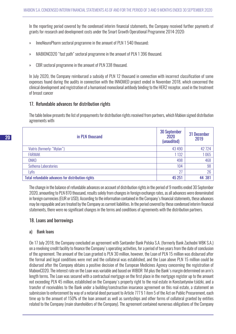In the reporting period covered by the condensed interim financial statements, the Company received further payments of grants for research and development costs under the Smart Growth Operational Programme 2014-2020:

- » InnoNeuroPharm sectoral programme in the amount of PLN 1 540 thousand;
- » MABIONCD20 "fast path" sectoral programme in the amount of PLN 1 396 thousand.
- » CBR sectoral programme in the amount of PLN 338 thousand.

In July 2020, the Company reimbursed a subsidy of PLN 12 thousand in connection with incorrect classification of some expenses found during the audits in connection with the INNOMED project ended in November 2018, which concerned the clinical development and registration of a humanised monoclonal antibody binding to the HER2 receptor, used in the treatment of breast cancer

## 17. Refundable advances for distribution rights

The table below presents the list of prepayments for distribution rights received from partners, which Mabion signed distribution agreements with:

| in PLN thousand                                   | <b>30 September</b><br>2020<br>(unaudited) | 31 December<br>2019 |
|---------------------------------------------------|--------------------------------------------|---------------------|
| Viatris (formerly: "Mylan")                       | 43 4 90                                    | 42 7 24             |
| <b>FARMAK</b>                                     | 1 1 3 2                                    | 1065                |
| <b>ONKO</b>                                       | 498                                        | 468                 |
| Sothema Laboratories                              | 104                                        | 98                  |
| Lyfis                                             | 27                                         | 26                  |
| Total refundable advances for distribution rights | 45 251                                     | 44 381              |

The change in the balance of refundable advances on account of distribution rights in the period of 9 months ended 30 September 2020, amounting to PLN 870 thousand, results solely from changes in foreign exchange rates, as all advances were denominated in foreign currencies (EUR or USD). According to the information contained in the Company's financial statements, these advances may be repayable and are treated by the Company as current liabilities. In the period covered by these condensed interim financial statements, there were no significant changes in the terms and conditions of agreements with the distribution partners.

## 18. Loans and borrowings

## a) Bank loans

On 17 July 2018, the Company concluded an agreement with Santander Bank Polska S.A. (formerly Bank Zachodni WBK S.A.) on a revolving credit facility to finance the Company's operating activities, for a period of two years from the date of conclusion of the agreement. The amount of the Loan granted is PLN 30 million, however, the Loan of PLN 15 million was disbursed after the formal and legal conditions were met and the collateral was established, and the Loan above PLN 15 million could be disbursed after the Company obtains a positive decision of the European Medicines Agency concerning the registration of MabionCD20. The interest rate on the Loan was variable and based on WIBOR 1M plus the Bank's margin determined on arm's length terms. The Loan was secured with a contractual mortgage on the first place in the mortgage register up to the amount not exceeding PLN 45 million, established on the Company's property right to the real estate in Konstantynów Łódzki, and a transfer of receivables to the Bank under a building/construction insurance agreement on this real estate, a statement on submission to enforcement by way of a notarial deed pursuant to Article 777 § 1 item 5 of the Act on Public Procurement, each time up to the amount of 150% of the loan amount as well as suretyships and other forms of collateral granted by entities related to the Company (main shareholders of the Company). The agreement contained numerous obligations of the Company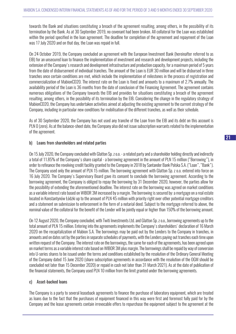towards the Bank and situations constituting a breach of the agreement resulting, among others, in the possibility of its termination by the Bank. As at 30 September 2019, no covenant had been broken. All collateral for the Loan was established within the period specified in the loan agreement. The deadline for completion of the agreement and repayment of the Loan was 17 July 2020 and on that day, the Loan was repaid in full.

On 24 October 2019, the Company concluded an agreement with the European Investment Bank (hereinafter referred to as EIB) for an unsecured loan to finance the implementation of investment and research and development projects, including the extension of the Company's research and development infrastructure and production capacity, for a maximum period of 5 years from the date of disbursement of individual tranches. The amount of the Loan is EUR 30 million and will be disbursed in three tranches once certain conditions are met, which include the implementation of milestones in the process of registration and commercialization of MabionCD20. The interest rate on the Loan is fixed and amounts to a maximum of 2.7% annually. The availability period of the Loan is 36 months from the date of conclusion of the Financing Agreement. The agreement contains numerous obligations of the Company towards the EIB and provides for situations constituting a breach of the agreement resulting, among others, in the possibility of its termination by the EIB. Considering the change in the regulatory strategy of MabionCD20, the Company has undertaken activities aimed at adjusting the existing agreement to the current strategy of the Company, including in particular new conditions for mobilisation of the different tranches, as well as their schedule.

As of 30 September 2020, the Company has not used any tranche of the Loan from the EIB and its debt on this account is PLN 0 (zero). As at the balance-sheet date, the Company also did not issue subscription warrants related to the implementation of the agreement.

## b) Loans from shareholders and related parties

On 15 July 2020, the Company concluded with Glatton Sp. z o.o. - a related party and a shareholder holding directly and indirectly a total of 11.85% of the Company's share capital - a borrowing agreement in the amount of PLN 15 million ("Borrowing"), in order to refinance the revolving credit facility granted to the Company in 2018 by Santander Bank Polska S.A. ("Loan", "Bank"). The Company used only the amount of PLN 15 million. The borrowing agreement with Glatton Sp. z o.o. entered into force on 16 July 2020. The Company's Supervisory Board gave its consent to conclude the borrowing agreement. According to the borrowing agreement, the Company is obliged to repay the borrowing by 31 December 2020, however, the parties allow for the possibility of extending the aforementioned deadline. The interest rate on the borrowing was agreed on market conditions as a variable interest rate based on WIBOR 3M increased by a margin. The borrowing is secured by: a mortgage on a real estate located in Konstantynów Łódzki up to the amount of PLN 45 million with priority right over other potential mortgage creditors and a statement on submission to enforcement in the form of a notarial deed. Subject to the mortgage referred to above, the nominal value of the collateral for the benefit of the Lender will be jointly equal or higher than 150% of the borrowing amount.

On 12 August 2020, the Company concluded, with Twiti Investments Ltd. and Glatton Sp. z o.o., borrowing agreements up to the total amount of PLN 15 million. Entering into the agreements implements the Company's shareholders' declaration of 16 March 2020 on the recapitalization of Mabion S.A. The borrowings may be paid out by the Lenders to the Company in tranches, in amounts and on dates set by the parties in separate schedules of payments, with the Lenders paying out tranches each time upon written request of the Company. The interest rate on the borrowings, the same for each of the agreements, has been agreed upon on market terms as a variable interest rate based on WIBOR 3M plus margin. The borrowings shall be repaid by way of conversion into U-series shares to be issued under the terms and conditions established by the resolution of the Ordinary General Meeting of the Company dated 15 June 2020 (share subscription agreements in accordance with the resolution of the OGM should be concluded not later than 15 December 2020) or repaid in cash not later than 31 March 2021). As at the date of publication of the financial statements, the Company used PLN 10 million from the limit granted under the borrowing agreements.

## c) Asset-backed loans

The Company is a party to several leaseback agreements to finance the purchase of laboratory equipment, which are treated as loans due to the fact that the purchases of equipment financed in this way were first and foremost fully paid for by the Company and the lease agreements contain irrevocable offers to repurchase the equipment subject to the agreement at the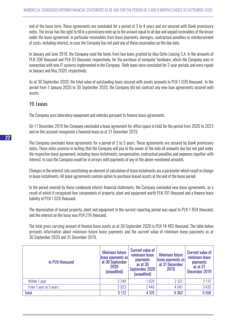end of the lease term. These agreements are concluded for a period of 3 to 4 years and are secured with blank promissory notes. The lessor has the right to fill in a promissory note up to the amount equal to all due and unpaid receivables of the lessor under the lease agreement, in particular receivables from lease payments, damages, contractual penalties or reimbursement of costs, including interest, in case the Company has not paid any of these receivables on the due date.

In January and June 2018, the Company used the funds from two loans granted by Idea Getin Leasing S.A. in the amounts of PLN 208 thousand and PLN 93 thousand, respectively, for the purchase of computer hardware, which the Company uses in connection with new IT systems implemented in the Company. Both loans were concluded for 2-year periods and were repaid in January and May 2020, respectively.

As at 30 September 2020, the total value of outstanding loans secured with assets amounts to PLN 1 039 thousand. In the period from 1 January 2020 to 30 September 2020, the Company did not contract any new loan agreements secured with assets.

## 19. Leases

The Company uses laboratory equipment and vehicles pursuant to finance lease agreements.

On 17 December 2019 the Company concluded a lease agreement for office space in Łódź for the period from 2020 to 2023 and on this account recognized a financial lease as at 31 December 2019.

The Company concludes lease agreements for a period of 3 to 5 years. These agreements are secured by blank promissory notes. These notes promise in writing that the Company will pay to the owner of the note all amounts due but not paid under the respective lease agreement, including lease instalments, compensation, contractual penalties and expenses together with interest, in case the Company would be in arrears with payments of any of the above-mentioned amounts.

Changes in the interest rate constituting an element of calculation of lease instalments are a parameter which result in change in lease instalments. All lease agreements contain option to purchase leased assets at the end of the lease period.

In the period covered by these condensed interim financial statements, the Company concluded new lease agreements, as a result of which it recognized four components of property, plant and equipment worth PLN 701 thousand and a finance lease liability of PLN 1 026 thousand.

The depreciation of leased property, plant and equipment in the current reporting period was equal to PLN 1 854 thousand, and the interest on the lease was PLN 276 thousand.

The total gross carrying amount of finance lease assets as at 30 September 2020 is PLN 14 482 thousand. The table below presents information about minimum future lease payments and the current value of minimum lease payments as at 30 September 2020 and 31 December 2019.

| in PLN thousand        | <b>Minimum future</b><br>lease payments as<br>at 30 September<br>2020<br>(unaudited) | <b>Current value of</b><br>minimum lease<br><b>payments</b><br>as at 30<br>September 2020<br>(unaudited) | <b>Minimum future</b><br>lease payments as<br>at 31 December<br>2019 | <b>Current value of</b><br>minimum lease<br><b>payments</b><br>as at 31<br>December 2019 |
|------------------------|--------------------------------------------------------------------------------------|----------------------------------------------------------------------------------------------------------|----------------------------------------------------------------------|------------------------------------------------------------------------------------------|
| Within 1 year          | 2 2 4 9                                                                              | 929                                                                                                      | 2 3 2 1                                                              | 2 1 1 5                                                                                  |
| From 1 year to 5 years | 2923                                                                                 | 2446                                                                                                     | 4041                                                                 | 3 4 3 5                                                                                  |
| <b>Total</b>           | 5 1 7 2                                                                              | 4 3 7 5                                                                                                  | 6 3 6 2                                                              | 5 5 5 0                                                                                  |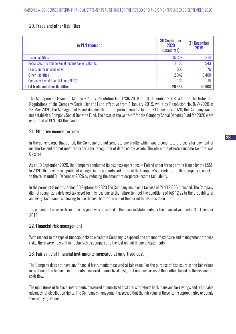## 20. Trade and other liabilities

| in PLN thousand                                     | <b>30 September</b><br>2020<br>(unaudited) | 31 December<br>2019 |
|-----------------------------------------------------|--------------------------------------------|---------------------|
| <b>Trade liabilities</b>                            | 15 309                                     | 15914               |
| Social security and personal income tax on salaries | 2 1 5 6                                    | 943                 |
| Provision for unused leave                          | 505                                        | 576                 |
| Other liabilities                                   | 2 3 4 2                                    | 3460                |
| Company Social Benefit Fund (ZFSS)                  | 133                                        | 15                  |
| <b>Total trade and other liabilities</b>            | 20 4 45                                    | 20 908              |

The Management Board of Mabion S.A., by Resolution No. 1/XII/2018 of 10 December 2018, adopted the Rules and Regulations of the Company Social Benefit Fund effective from 1 January 2019, while by Resolution No. 8/V/2020 of 28 May 2020, the Management Board decided that in the period from 12 June to 31 December 2020, the Company would not establish a Company Social Benefits Fund. The costs of the write-off for the Company Social Benefits Fund for 2020 were estimated at PLN 163 thousand.

## 21. Effective income tax rate

In the current reporting period, the Company did not generate any profits which would constitute the basis for payment of income tax and did not meet the criteria for recognition of deferred tax assets. Therefore, the effective income tax rate was 0 (zero).

As at 30 September 2020, the Company conducted its business operations in Poland under three permits issued by the ŁSSE. In 2020, there were no significant changes in the amounts and terms of the Company's tax reliefs, i.e. the Company is entitled to the relief until 31 December 2026 by reducing the amount of corporate income tax liability.

In the period of 9 months ended 30 September 2020 The Company incurred a tax loss of PLN 12 655 thousand. The Company did not recognize a deferred tax asset for this loss due to the failure to meet the conditions of IAS 12 as to the probability of achieving tax revenues allowing to use the loss before the end of the period for its utilization.

The amount of tax losses from previous years was presented in the financial statements for the financial year ended 31 December 2019.

## 22. Financial risk management

With respect to the type of financial risks to which the Company is exposed, the amount of exposure and management of these risks, there were no significant changes as compared to the last annual financial statements.

## 23. Fair value of financial instruments measured at amortised cost

The Company does not have any financial instruments measured at fair value. For the purpose of disclosure of the fair values in relation to the financial instruments measured at amortized cost, the Company has used the method based on the discounted cash flow.

The main items of financial instruments measured at amortized cost are: short-term bank loans and borrowings and refundable advances for distribution rights. The Company's management assessed that the fair value of these items approximates or equals their carrying values.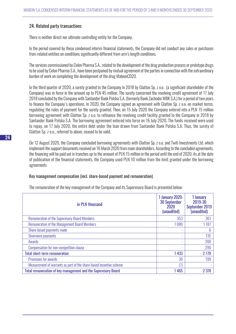## 24. Related party transactions

There is neither direct nor ultimate controlling entity for the Company.

In the period covered by these condensed interim financial statements, the Company did not conduct any sales or purchases from related entities on conditions significantly different from arm's length conditions.

The services commissioned by Celon Pharma S.A., related to the development of the drug production process or prototype drugs to be used by Celon Pharma S.A., have been postponed by mutual agreement of the parties in connection with the extraordinary burden of work on completing the development of the drug MabionCD20.

In the third quarter of 2020, a surety granted to the Company in 2018 by Glatton Sp. z o.o. (a significant shareholder of the Company) was in force in the amount up to PLN 45 million. The surety concerned the revolving credit agreement of 17 July 2018 concluded by the Company with Santander Bank Polska S.A. (formerly Bank Zachodni WBK S.A.) for a period of two years to finance the Company's operations. In 2020, the Company signed an agreement with Glatton Sp. z o.o. on market terms, regulating the rules of payment for the surety granted. Then, on 15 July 2020 the Company entered into a PLN 15 million borrowing agreement with Glatton Sp. z o.o. to refinance the revolving credit facility granted to the Company in 2018 by Santander Bank Polska S.A. The borrowing agreement entered into force on 16 July 2020. The funds received were used to repay, on 17 July 2020, the entire debt under the loan drawn from Santander Bank Polska S.A. Thus, the surety of Glatton Sp. z o.o., referred to above, ceased to be valid.

On 12 August 2020, the Company concluded borrowing agreements with Glatton Sp. z o.o. and Twiti Investments Ltd. which implement the support documents received on 16 March 2020 from main shareholders. According to the concluded agreements, the financing will be paid out in tranches up to the amount of PLN 15 million in the period until the end of 2020. As at the date of publication of the financial statements, the Company used PLN 10 million from the limit granted under the borrowing agreements

## Key management compensation (incl. share-based payment and remuneration)

| in PLN thousand                                                     | <b>1 January 2020-</b><br><b>30 September</b><br>2020<br>(unaudited) | 1 January<br>2019-30<br>September 2019<br>(unaudited) |
|---------------------------------------------------------------------|----------------------------------------------------------------------|-------------------------------------------------------|
| <b>Remuneration of the Supervisory Board Members</b>                | 353                                                                  | 361                                                   |
| <b>Remuneration of the Management Board Members</b>                 | 1080                                                                 | 1187                                                  |
| Share-based payments made                                           | ۰                                                                    | 6                                                     |
| Severance payments                                                  |                                                                      | 135                                                   |
| Awards                                                              | ۰                                                                    | 200                                                   |
| Compensation for non-competition clause                             | ۰                                                                    | 290                                                   |
| <b>Total short-term remuneration</b>                                | 1 4 3 3                                                              | 2 1 7 9                                               |
| Provisions for awards                                               | 39                                                                   | 199                                                   |
| Measurement of warrants as part of the share-based incentive scheme | (7)                                                                  |                                                       |
| Total remuneration of key management and the Supervisory Board      | 1465                                                                 | 2 3 7 8                                               |

The remuneration of the key management of the Company and its Supervisory Board is presented below: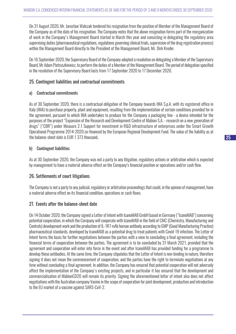On 31 August 2020, Mr. Jarosław Walczak tendered his resignation from the position of Member of the Management Board of the Company as of the date of his resignation. The Company notes that the above resignation forms part of the reorganization of work in the Company's Management Board started in March this year and consisting in delegating the regulatory area supervising duties (pharmaceutical regulations, regulations governing clinical trials, supervision of the drug registration process) within the Management Board directly to the President of the Management Board, Mr. Dirk Kreder.

On 16 September 2020, the Supervisory Board of the Company adopted a resolution on delegating a Member of the Supervisory Board, Mr Adam Pietruszkiewicz, to perform the duties of a Member of the Management Board. The period of delegation specified in the resolution of the Supervisory Board lasts from 17 September 2020 to 17 December 2020.

## 25. Contingent liabilities and contractual commitments

## a) Contractual commitments

As of 30 September 2020, there is a contractual obligation of the Company towards IMA S.p.A. with its registered office in Italy (IMA) to purchase property, plant and equipment, resulting from the implementation of certain conditions provided for in the agreement, pursuant to which IMA undertakes to produce for the Company a packaging line - a device intended for the purposes of the project "Expansion of the Research and Development Centre of Mabion S.A. - research on a new generation of drugs" ("CBR") under Measure 2.1 Support for investment in R&D infrastructure of enterprises under the Smart Growth Operational Programme 2014-2020 co-financed by the European Regional Development Fund. The value of the liability as at the balance-sheet date is EUR 1 373 thousand..

## b) Contingent liabilities

As at 30 September 2020, the Company was not a party to any litigation, regulatory actions or arbitration which is expected by management to have a material adverse effect on the Company's financial position or operations and/or cash flow.

## 26. Settlements of court litigations

The Company is not a party to any judicial, regulatory or arbitration proceedings that could, in the opinion of management, have a material adverse effect on its financial condition, operations or cash flows.

## 27. Events after the balance-sheet date

On 14 October 2020, the Company signed a Letter of Intent with IcanoMAB GmbH based in Germany ("IcanoMAB") concerning potential cooperation, in which the Company will cooperate with IcanoMAB in the field of CMC (Chemistry, Manufacturing and Controls) development work and the production of IL-1R7 mAb human antibody according to GMP (Good Manufacturing Practice) pharmaceutical standards, developed by IcanoMAB as a potential drug to treat patients with Covid-19 infection. The Letter of Intent forms the basis for further negotiations between the parties with a view to concluding a final agreement, including the financial terms of cooperation between the parties. The agreement is to be concluded by 31 March 2021, provided that the agreement and cooperation will enter into force in the event and after IcanoMAB has provided funding for a programme to develop these antibodies. At the same time, the Company stipulates that the Letter of Intent is non-binding in nature, therefore signing it does not mean the commencement of cooperation, and the parties have the right to terminate negotiations at any time without concluding a final agreement. In addition, the Company has ensured that potential cooperation will not adversely affect the implementation of the Company's existing projects, and in particular it has ensured that the development and commercialisation of MabionCD20 will remain its priority. Signing the aforementioned letter of intent also does not affect negotiations with the Australian company Vaxine in the scope of cooperation for joint development, production and introduction to the EU market of a vaccine against SARS-CoV-2.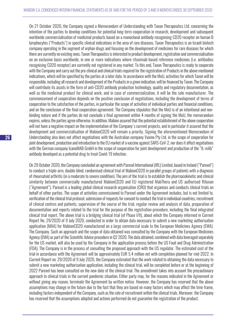On 21 October 2020, the Company signed a Memorandum of Understanding with Taxon Therapeutics Ltd. concerning the intention of the parties to develop conditions for potential long-term cooperation in research, development and subsequent worldwide commercialisation of medicinal products based on a monoclonal antibody recognising CD20 receptor on human B lymphocytes ("Products") in specific clinical indications in the area of rare diseases. Taxon Therapeutics is an Israeli biotech company operating in the segment of orphan drugs and focusing on the development of medicines for rare diseases for which there are currently no existing ones. Taxon Therapeutics is interested in product development, registration and commercialisation on an exclusive basis worldwide, in one or more indications where rituximab-based reference medicines (i.e. antibodies recognising CD20 receptor) are currently not registered in any market. To this end, Taxon Therapeutics is ready to cooperate with the Company and carry out the pre-clinical and clinical trials required for the registration of Products in the above mentioned indications, which will be specified by the parties at a later date. In accordance with the MoU, activities for which Taxon will be responsible, including all research and development of the Products in a given indication, will be financed by Taxon. The Company will contribute its assets in the form of anti-CD20 antibody production technology, quality and regulatory documentation, as well as the medicinal product for clinical work, and in case of commercialization, it will be the sole manufacturer. The commencement of cooperation depends on the positive conclusion of negotiations, including the development of terms of cooperation to the satisfaction of the parties, in particular the scope of activities of individual parties and financial conditions, and on the conclusion of the final cooperation agreement. The Company stipulates that the MoU is of an intentional and nonbinding nature and if the parties do not conclude a final agreement within 4 months of signing the MoU, the memorandum expires, unless the parties agree otherwise. In addition, Mabion assured that the potential establishment of the above cooperation will not have a negative impact on the implementation of the Company's current projects, and in particular it assured that the development and commercialisation of MabionCD20 will remain a priority. Signing the aforementioned Memorandum of Understanding also does not affect negotiations with the Australian company Vaxine Pty Ltd. in the scope of cooperation for joint development, production and introduction to the EU market of a vaccine against SARS-CoV-2, nor does it affect negotiations with the German company IcanoMAB GmbH in the scope of cooperation for joint development and production of the "IL-mAb" antibody developed as a potential drug to treat Covid-19 infection.

On 29 October 2020, the Company concluded an agreement with Parexel International (IRL) Limited, based in Ireland ("Parexel") to conduct a triple-arm, double-blind, randomised clinical trial of MabionCD20 in parallel groups of patients with a diagnosis of rheumatoid arthritis (in a moderate to severe condition). The aim of the trial is to establish the pharmacokinetic and clinical similarity between commercially manufactured MabionCD20 and EU registered MabThera and US authorised Rituxan ("Agreement"). Parexel is a leading global clinical research organisation (CRO) that organises and conducts clinical trials on behalf of other parties. The scope of activities commissioned to Parexel under the Agreement includes, but is not limited to, verification of the clinical trial protocol, submission of requests for consent to conduct the trial in individual countries, recruitment of clinical centres and patients, supervision of the course of the trial, regular review and analysis of data, preparation of documentation and reports related to the trial for the purpose of the registration procedure, including the final integrated clinical trial report. The above trial is a bridging clinical trial (of Phase I/II), about which the Company informed in Current Report No. 29/2020 of 9 July 2020, conducted in order to obtain data necessary to submit a new marketing authorisation application (MAA) for MabionCD20 manufactured on a large commercial scale to the European Medicines Agency (EMA). The Company. Such an approach and the scope of data obtained was consulted by the Company with the European Medicines Agency (EMA) as part of the Scientific Advice procedure in Q2 2020. The data obtained, combined with data leveraged separately for the US market, will also be used by the Company in the application process before the US Food and Drug Administration (FDA). The Company is in the process of consulting the proposed approach with the US regulator. The estimated cost of the trial in accordance with the Agreement will be approximately EUR 5.4 million net with completion planned for mid-2022. In Current Report no. 29/2020 of 9 July 2020, the Company estimated that the work related to obtaining the data necessary to submit a new marketing authorisation application, including the clinical trial, will be completed before or at the beginning of 2022 Parexel has been consulted on the new date of the clinical trial. The amendment takes into account the precautionary approach to clinical trials in the current pandemic situation. Either party may, for the reasons indicated in the Agreement or without giving any reason, terminate the Agreement by written notice. However, the Company has reserved that the above assumptions may change in the future due to the fact that they are based on many factors which may affect the time frame, including factors independent of the Company, such as the rate of recruitment within the clinical trials. Moreover, the Company has reserved that the assumptions adopted and actions performed do not guarantee the registration of the product.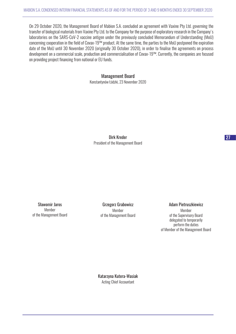On 29 October 2020, the Management Board of Mabion S.A. concluded an agreement with Vaxine Pty Ltd. governing the transfer of biological materials from Vaxine Pty Ltd. to the Company for the purpose of exploratory research in the Company's laboratories on the SARS-CoV-2 vaccine antigen under the previously concluded Memorandum of Understanding (MoU) concerning cooperation in the field of Covax-19™ product. At the same time, the parties to the MoU postponed the expiration date of the MoU until 30 November 2020 (originally 30 October 2020), in order to finalise the agreements on process development on a commercial scale, production and commercialisation of Covax-19™. Currently, the companies are focused on providing project financing from national or EU funds.

## Management Board

Konstantynów Łódzki, 23 November 2020

Dirk Kreder President of the Management Board

Sławomir Jaros Member of the Management Board

Grzegorz Grabowicz Member of the Management Board

#### Adam Pietruszkiewicz

Member of the Supervisory Board delegated to temporarily perform the duties of Member of the Management Board

Katarzyna Kutera-Wasiak Acting Chief Accountant